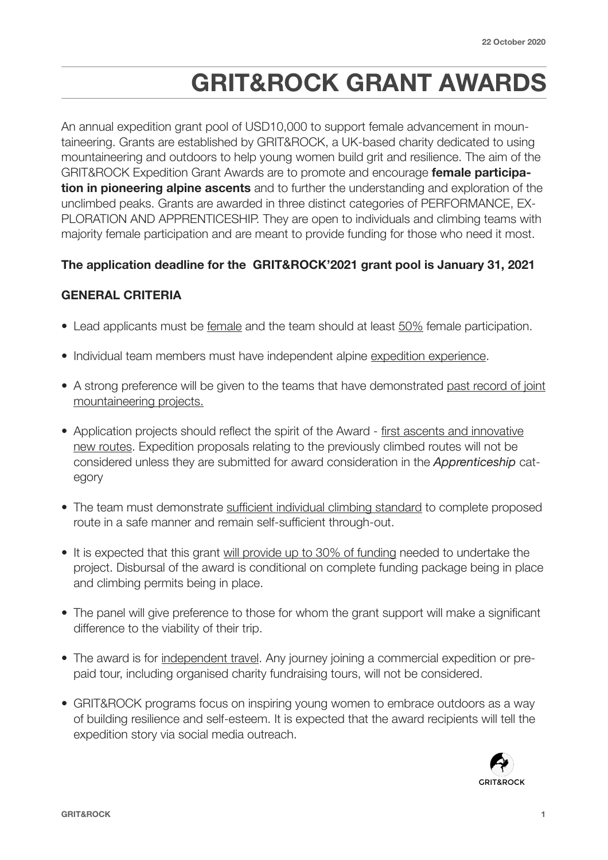# **GRIT&ROCK GRANT AWARDS**

An annual expedition grant pool of USD10,000 to support female advancement in mountaineering. Grants are established by GRIT&ROCK, a UK-based charity dedicated to using mountaineering and outdoors to help young women build grit and resilience. The aim of the GRIT&ROCK Expedition Grant Awards are to promote and encourage **female participation in pioneering alpine ascents** and to further the understanding and exploration of the unclimbed peaks. Grants are awarded in three distinct categories of PERFORMANCE, EX-PLORATION AND APPRENTICESHIP. They are open to individuals and climbing teams with majority female participation and are meant to provide funding for those who need it most.

## **The application deadline for the GRIT&ROCK'2021 grant pool is January 31, 2021**

## **GENERAL CRITERIA**

- Lead applicants must be female and the team should at least 50% female participation.
- Individual team members must have independent alpine expedition experience.
- A strong preference will be given to the teams that have demonstrated past record of joint mountaineering projects.
- Application projects should reflect the spirit of the Award first ascents and innovative new routes. Expedition proposals relating to the previously climbed routes will not be considered unless they are submitted for award consideration in the *Apprenticeship* category
- The team must demonstrate sufficient individual climbing standard to complete proposed route in a safe manner and remain self-sufficient through-out.
- It is expected that this grant will provide up to 30% of funding needed to undertake the project. Disbursal of the award is conditional on complete funding package being in place and climbing permits being in place.
- The panel will give preference to those for whom the grant support will make a significant difference to the viability of their trip.
- The award is for independent travel. Any journey joining a commercial expedition or prepaid tour, including organised charity fundraising tours, will not be considered.
- GRIT&ROCK programs focus on inspiring young women to embrace outdoors as a way of building resilience and self-esteem. It is expected that the award recipients will tell the expedition story via social media outreach.

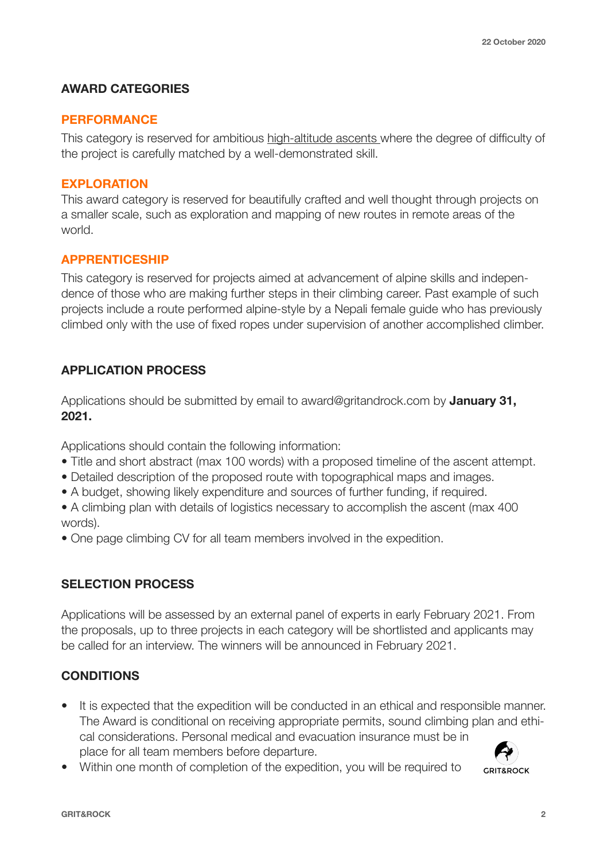#### **AWARD CATEGORIES**

#### **PERFORMANCE**

This category is reserved for ambitious high-altitude ascents where the degree of difficulty of the project is carefully matched by a well-demonstrated skill.

#### **EXPLORATION**

This award category is reserved for beautifully crafted and well thought through projects on a smaller scale, such as exploration and mapping of new routes in remote areas of the world.

## **APPRENTICESHIP**

This category is reserved for projects aimed at advancement of alpine skills and independence of those who are making further steps in their climbing career. Past example of such projects include a route performed alpine-style by a Nepali female guide who has previously climbed only with the use of fixed ropes under supervision of another accomplished climber.

# **APPLICATION PROCESS**

Applications should be submitted by email to award@gritandrock.com by **January 31, 2021.** 

Applications should contain the following information:

- Title and short abstract (max 100 words) with a proposed timeline of the ascent attempt.
- Detailed description of the proposed route with topographical maps and images.
- A budget, showing likely expenditure and sources of further funding, if required.

• A climbing plan with details of logistics necessary to accomplish the ascent (max 400 words).

• One page climbing CV for all team members involved in the expedition.

# **SELECTION PROCESS**

Applications will be assessed by an external panel of experts in early February 2021. From the proposals, up to three projects in each category will be shortlisted and applicants may be called for an interview. The winners will be announced in February 2021.

# **CONDITIONS**

- It is expected that the expedition will be conducted in an ethical and responsible manner. The Award is conditional on receiving appropriate permits, sound climbing plan and ethical considerations. Personal medical and evacuation insurance must be in place for all team members before departure.
- Within one month of completion of the expedition, you will be required to